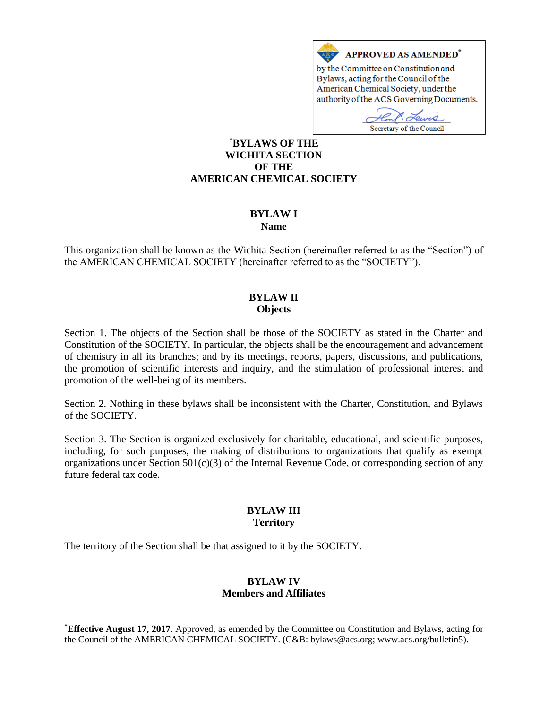

by the Committee on Constitution and Bylaws, acting for the Council of the American Chemical Society, under the authority of the ACS Governing Documents.

Euves Secretary of the Council

### **\*BYLAWS OF THE WICHITA SECTION OF THE AMERICAN CHEMICAL SOCIETY**

#### **BYLAW I Name**

This organization shall be known as the Wichita Section (hereinafter referred to as the "Section") of the AMERICAN CHEMICAL SOCIETY (hereinafter referred to as the "SOCIETY").

# **BYLAW II Objects**

Section 1. The objects of the Section shall be those of the SOCIETY as stated in the Charter and Constitution of the SOCIETY. In particular, the objects shall be the encouragement and advancement of chemistry in all its branches; and by its meetings, reports, papers, discussions, and publications, the promotion of scientific interests and inquiry, and the stimulation of professional interest and promotion of the well-being of its members.

Section 2. Nothing in these bylaws shall be inconsistent with the Charter, Constitution, and Bylaws of the SOCIETY.

Section 3. The Section is organized exclusively for charitable, educational, and scientific purposes, including, for such purposes, the making of distributions to organizations that qualify as exempt organizations under Section 501(c)(3) of the Internal Revenue Code, or corresponding section of any future federal tax code.

### **BYLAW III Territory**

The territory of the Section shall be that assigned to it by the SOCIETY.

 $\overline{a}$ 

## **BYLAW IV Members and Affiliates**

**<sup>\*</sup>Effective August 17, 2017.** Approved, as emended by the Committee on Constitution and Bylaws, acting for the Council of the AMERICAN CHEMICAL SOCIETY. (C&B: bylaws@acs.org; www.acs.org/bulletin5).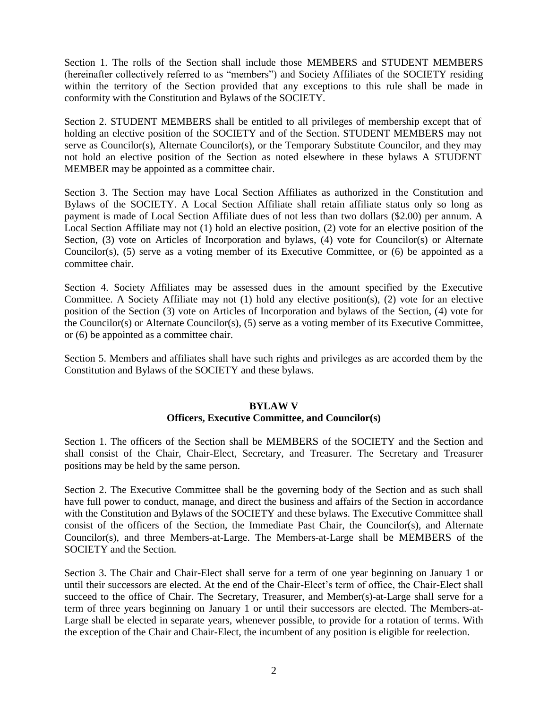Section 1. The rolls of the Section shall include those MEMBERS and STUDENT MEMBERS (hereinafter collectively referred to as "members") and Society Affiliates of the SOCIETY residing within the territory of the Section provided that any exceptions to this rule shall be made in conformity with the Constitution and Bylaws of the SOCIETY.

Section 2. STUDENT MEMBERS shall be entitled to all privileges of membership except that of holding an elective position of the SOCIETY and of the Section. STUDENT MEMBERS may not serve as Councilor(s), Alternate Councilor(s), or the Temporary Substitute Councilor, and they may not hold an elective position of the Section as noted elsewhere in these bylaws A STUDENT MEMBER may be appointed as a committee chair.

Section 3. The Section may have Local Section Affiliates as authorized in the Constitution and Bylaws of the SOCIETY. A Local Section Affiliate shall retain affiliate status only so long as payment is made of Local Section Affiliate dues of not less than two dollars (\$2.00) per annum. A Local Section Affiliate may not (1) hold an elective position, (2) vote for an elective position of the Section, (3) vote on Articles of Incorporation and bylaws, (4) vote for Councilor(s) or Alternate Councilor(s), (5) serve as a voting member of its Executive Committee, or (6) be appointed as a committee chair.

Section 4. Society Affiliates may be assessed dues in the amount specified by the Executive Committee. A Society Affiliate may not (1) hold any elective position(s), (2) vote for an elective position of the Section (3) vote on Articles of Incorporation and bylaws of the Section, (4) vote for the Councilor(s) or Alternate Councilor(s), (5) serve as a voting member of its Executive Committee, or (6) be appointed as a committee chair.

Section 5. Members and affiliates shall have such rights and privileges as are accorded them by the Constitution and Bylaws of the SOCIETY and these bylaws.

### **BYLAW V Officers, Executive Committee, and Councilor(s)**

Section 1. The officers of the Section shall be MEMBERS of the SOCIETY and the Section and shall consist of the Chair, Chair-Elect, Secretary, and Treasurer. The Secretary and Treasurer positions may be held by the same person.

Section 2. The Executive Committee shall be the governing body of the Section and as such shall have full power to conduct, manage, and direct the business and affairs of the Section in accordance with the Constitution and Bylaws of the SOCIETY and these bylaws. The Executive Committee shall consist of the officers of the Section, the Immediate Past Chair, the Councilor(s), and Alternate Councilor(s), and three Members-at-Large. The Members-at-Large shall be MEMBERS of the SOCIETY and the Section.

Section 3. The Chair and Chair-Elect shall serve for a term of one year beginning on January 1 or until their successors are elected. At the end of the Chair-Elect's term of office, the Chair-Elect shall succeed to the office of Chair. The Secretary, Treasurer, and Member(s)-at-Large shall serve for a term of three years beginning on January 1 or until their successors are elected. The Members-at-Large shall be elected in separate years, whenever possible, to provide for a rotation of terms. With the exception of the Chair and Chair-Elect, the incumbent of any position is eligible for reelection.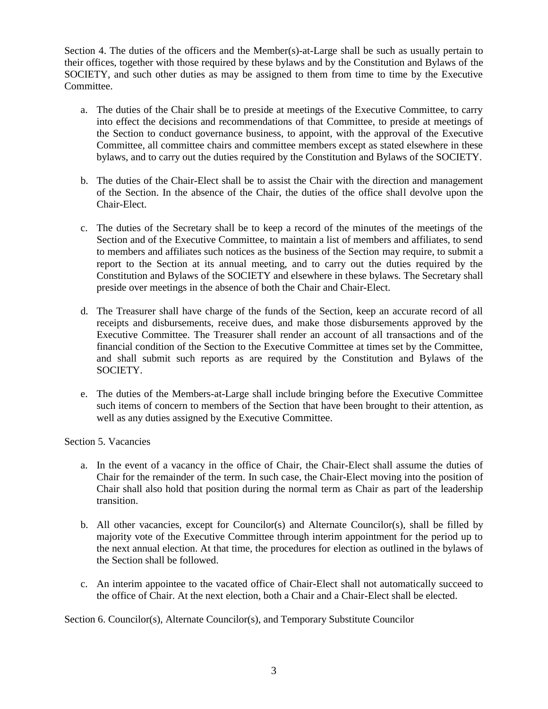Section 4. The duties of the officers and the Member(s)-at-Large shall be such as usually pertain to their offices, together with those required by these bylaws and by the Constitution and Bylaws of the SOCIETY, and such other duties as may be assigned to them from time to time by the Executive **Committee** 

- a. The duties of the Chair shall be to preside at meetings of the Executive Committee, to carry into effect the decisions and recommendations of that Committee, to preside at meetings of the Section to conduct governance business, to appoint, with the approval of the Executive Committee, all committee chairs and committee members except as stated elsewhere in these bylaws, and to carry out the duties required by the Constitution and Bylaws of the SOCIETY.
- b. The duties of the Chair-Elect shall be to assist the Chair with the direction and management of the Section. In the absence of the Chair, the duties of the office shall devolve upon the Chair-Elect.
- c. The duties of the Secretary shall be to keep a record of the minutes of the meetings of the Section and of the Executive Committee, to maintain a list of members and affiliates, to send to members and affiliates such notices as the business of the Section may require, to submit a report to the Section at its annual meeting, and to carry out the duties required by the Constitution and Bylaws of the SOCIETY and elsewhere in these bylaws. The Secretary shall preside over meetings in the absence of both the Chair and Chair-Elect.
- d. The Treasurer shall have charge of the funds of the Section, keep an accurate record of all receipts and disbursements, receive dues, and make those disbursements approved by the Executive Committee. The Treasurer shall render an account of all transactions and of the financial condition of the Section to the Executive Committee at times set by the Committee, and shall submit such reports as are required by the Constitution and Bylaws of the SOCIETY.
- e. The duties of the Members-at-Large shall include bringing before the Executive Committee such items of concern to members of the Section that have been brought to their attention, as well as any duties assigned by the Executive Committee.

Section 5. Vacancies

- a. In the event of a vacancy in the office of Chair, the Chair-Elect shall assume the duties of Chair for the remainder of the term. In such case, the Chair-Elect moving into the position of Chair shall also hold that position during the normal term as Chair as part of the leadership transition.
- b. All other vacancies, except for Councilor(s) and Alternate Councilor(s), shall be filled by majority vote of the Executive Committee through interim appointment for the period up to the next annual election. At that time, the procedures for election as outlined in the bylaws of the Section shall be followed.
- c. An interim appointee to the vacated office of Chair-Elect shall not automatically succeed to the office of Chair. At the next election, both a Chair and a Chair-Elect shall be elected.

Section 6. Councilor(s), Alternate Councilor(s), and Temporary Substitute Councilor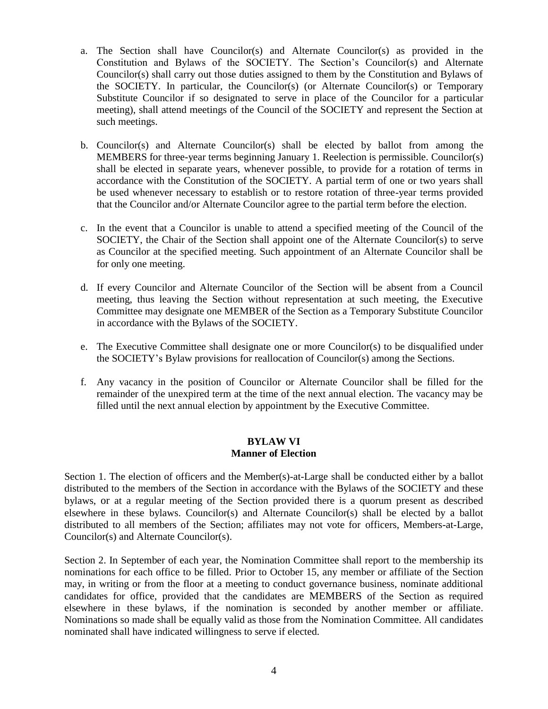- a. The Section shall have Councilor(s) and Alternate Councilor(s) as provided in the Constitution and Bylaws of the SOCIETY. The Section's Councilor(s) and Alternate Councilor(s) shall carry out those duties assigned to them by the Constitution and Bylaws of the SOCIETY. In particular, the Councilor(s) (or Alternate Councilor(s) or Temporary Substitute Councilor if so designated to serve in place of the Councilor for a particular meeting), shall attend meetings of the Council of the SOCIETY and represent the Section at such meetings.
- b. Councilor(s) and Alternate Councilor(s) shall be elected by ballot from among the MEMBERS for three-year terms beginning January 1. Reelection is permissible. Councilor(s) shall be elected in separate years, whenever possible, to provide for a rotation of terms in accordance with the Constitution of the SOCIETY. A partial term of one or two years shall be used whenever necessary to establish or to restore rotation of three-year terms provided that the Councilor and/or Alternate Councilor agree to the partial term before the election.
- c. In the event that a Councilor is unable to attend a specified meeting of the Council of the SOCIETY, the Chair of the Section shall appoint one of the Alternate Councilor(s) to serve as Councilor at the specified meeting. Such appointment of an Alternate Councilor shall be for only one meeting.
- d. If every Councilor and Alternate Councilor of the Section will be absent from a Council meeting, thus leaving the Section without representation at such meeting, the Executive Committee may designate one MEMBER of the Section as a Temporary Substitute Councilor in accordance with the Bylaws of the SOCIETY.
- e. The Executive Committee shall designate one or more Councilor(s) to be disqualified under the SOCIETY's Bylaw provisions for reallocation of Councilor(s) among the Sections.
- f. Any vacancy in the position of Councilor or Alternate Councilor shall be filled for the remainder of the unexpired term at the time of the next annual election. The vacancy may be filled until the next annual election by appointment by the Executive Committee.

### **BYLAW VI Manner of Election**

Section 1. The election of officers and the Member(s)-at-Large shall be conducted either by a ballot distributed to the members of the Section in accordance with the Bylaws of the SOCIETY and these bylaws, or at a regular meeting of the Section provided there is a quorum present as described elsewhere in these bylaws. Councilor(s) and Alternate Councilor(s) shall be elected by a ballot distributed to all members of the Section; affiliates may not vote for officers, Members-at-Large, Councilor(s) and Alternate Councilor(s).

Section 2. In September of each year, the Nomination Committee shall report to the membership its nominations for each office to be filled. Prior to October 15, any member or affiliate of the Section may, in writing or from the floor at a meeting to conduct governance business, nominate additional candidates for office, provided that the candidates are MEMBERS of the Section as required elsewhere in these bylaws, if the nomination is seconded by another member or affiliate. Nominations so made shall be equally valid as those from the Nomination Committee. All candidates nominated shall have indicated willingness to serve if elected.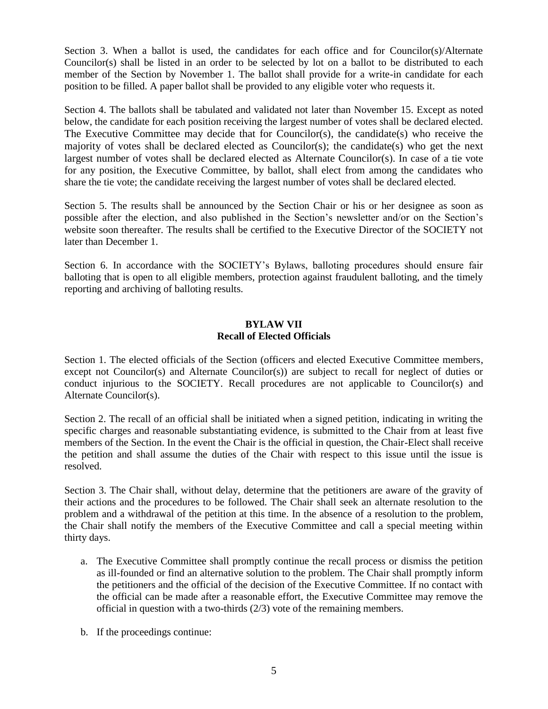Section 3. When a ballot is used, the candidates for each office and for Councilor(s)/Alternate Councilor(s) shall be listed in an order to be selected by lot on a ballot to be distributed to each member of the Section by November 1. The ballot shall provide for a write-in candidate for each position to be filled. A paper ballot shall be provided to any eligible voter who requests it.

Section 4. The ballots shall be tabulated and validated not later than November 15. Except as noted below, the candidate for each position receiving the largest number of votes shall be declared elected. The Executive Committee may decide that for Councilor(s), the candidate(s) who receive the majority of votes shall be declared elected as Councilor(s); the candidate(s) who get the next largest number of votes shall be declared elected as Alternate Councilor(s). In case of a tie vote for any position, the Executive Committee, by ballot, shall elect from among the candidates who share the tie vote; the candidate receiving the largest number of votes shall be declared elected.

Section 5. The results shall be announced by the Section Chair or his or her designee as soon as possible after the election, and also published in the Section's newsletter and/or on the Section's website soon thereafter. The results shall be certified to the Executive Director of the SOCIETY not later than December 1.

Section 6. In accordance with the SOCIETY's Bylaws, balloting procedures should ensure fair balloting that is open to all eligible members, protection against fraudulent balloting, and the timely reporting and archiving of balloting results.

### **BYLAW VII Recall of Elected Officials**

Section 1. The elected officials of the Section (officers and elected Executive Committee members, except not Councilor(s) and Alternate Councilor(s)) are subject to recall for neglect of duties or conduct injurious to the SOCIETY. Recall procedures are not applicable to Councilor(s) and Alternate Councilor(s).

Section 2. The recall of an official shall be initiated when a signed petition, indicating in writing the specific charges and reasonable substantiating evidence, is submitted to the Chair from at least five members of the Section. In the event the Chair is the official in question, the Chair-Elect shall receive the petition and shall assume the duties of the Chair with respect to this issue until the issue is resolved.

Section 3. The Chair shall, without delay, determine that the petitioners are aware of the gravity of their actions and the procedures to be followed. The Chair shall seek an alternate resolution to the problem and a withdrawal of the petition at this time. In the absence of a resolution to the problem, the Chair shall notify the members of the Executive Committee and call a special meeting within thirty days.

- a. The Executive Committee shall promptly continue the recall process or dismiss the petition as ill-founded or find an alternative solution to the problem. The Chair shall promptly inform the petitioners and the official of the decision of the Executive Committee. If no contact with the official can be made after a reasonable effort, the Executive Committee may remove the official in question with a two-thirds (2/3) vote of the remaining members.
- b. If the proceedings continue: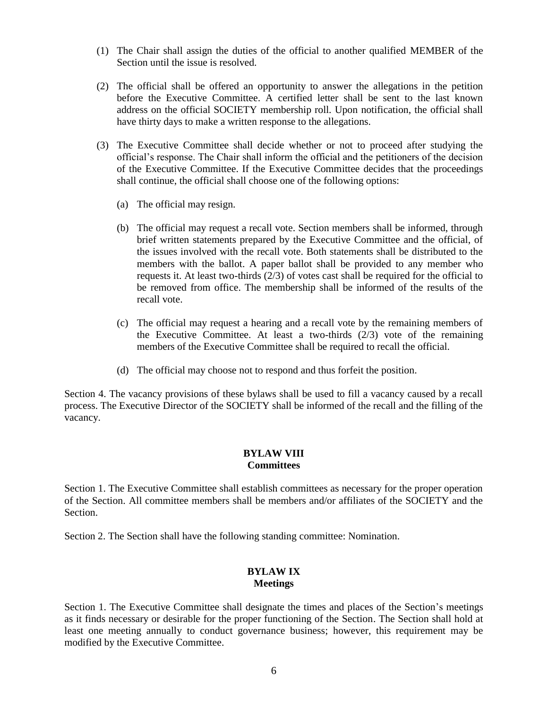- (1) The Chair shall assign the duties of the official to another qualified MEMBER of the Section until the issue is resolved.
- (2) The official shall be offered an opportunity to answer the allegations in the petition before the Executive Committee. A certified letter shall be sent to the last known address on the official SOCIETY membership roll. Upon notification, the official shall have thirty days to make a written response to the allegations.
- (3) The Executive Committee shall decide whether or not to proceed after studying the official's response. The Chair shall inform the official and the petitioners of the decision of the Executive Committee. If the Executive Committee decides that the proceedings shall continue, the official shall choose one of the following options:
	- (a) The official may resign.
	- (b) The official may request a recall vote. Section members shall be informed, through brief written statements prepared by the Executive Committee and the official, of the issues involved with the recall vote. Both statements shall be distributed to the members with the ballot. A paper ballot shall be provided to any member who requests it. At least two-thirds (2/3) of votes cast shall be required for the official to be removed from office. The membership shall be informed of the results of the recall vote.
	- (c) The official may request a hearing and a recall vote by the remaining members of the Executive Committee. At least a two-thirds  $(2/3)$  vote of the remaining members of the Executive Committee shall be required to recall the official.
	- (d) The official may choose not to respond and thus forfeit the position.

Section 4. The vacancy provisions of these bylaws shall be used to fill a vacancy caused by a recall process. The Executive Director of the SOCIETY shall be informed of the recall and the filling of the vacancy.

## **BYLAW VIII Committees**

Section 1. The Executive Committee shall establish committees as necessary for the proper operation of the Section. All committee members shall be members and/or affiliates of the SOCIETY and the Section.

Section 2. The Section shall have the following standing committee: Nomination.

### **BYLAW IX Meetings**

Section 1. The Executive Committee shall designate the times and places of the Section's meetings as it finds necessary or desirable for the proper functioning of the Section. The Section shall hold at least one meeting annually to conduct governance business; however, this requirement may be modified by the Executive Committee.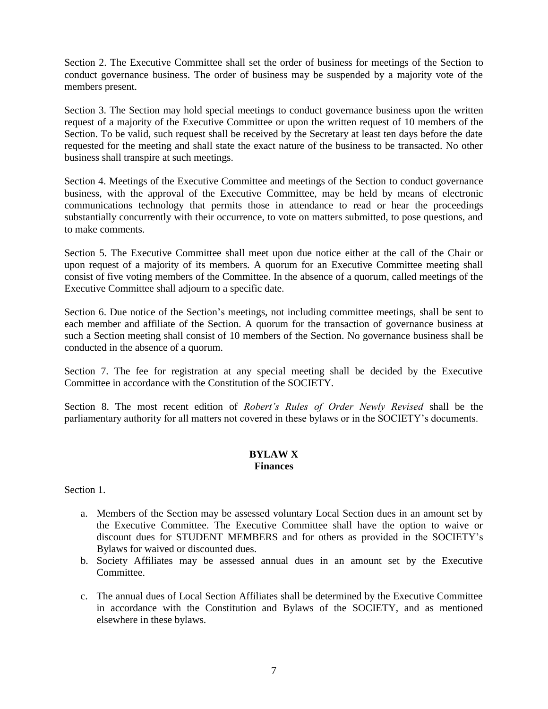Section 2. The Executive Committee shall set the order of business for meetings of the Section to conduct governance business. The order of business may be suspended by a majority vote of the members present.

Section 3. The Section may hold special meetings to conduct governance business upon the written request of a majority of the Executive Committee or upon the written request of 10 members of the Section. To be valid, such request shall be received by the Secretary at least ten days before the date requested for the meeting and shall state the exact nature of the business to be transacted. No other business shall transpire at such meetings.

Section 4. Meetings of the Executive Committee and meetings of the Section to conduct governance business, with the approval of the Executive Committee, may be held by means of electronic communications technology that permits those in attendance to read or hear the proceedings substantially concurrently with their occurrence, to vote on matters submitted, to pose questions, and to make comments.

Section 5. The Executive Committee shall meet upon due notice either at the call of the Chair or upon request of a majority of its members. A quorum for an Executive Committee meeting shall consist of five voting members of the Committee. In the absence of a quorum, called meetings of the Executive Committee shall adjourn to a specific date.

Section 6. Due notice of the Section's meetings, not including committee meetings, shall be sent to each member and affiliate of the Section. A quorum for the transaction of governance business at such a Section meeting shall consist of 10 members of the Section. No governance business shall be conducted in the absence of a quorum.

Section 7. The fee for registration at any special meeting shall be decided by the Executive Committee in accordance with the Constitution of the SOCIETY.

Section 8. The most recent edition of *Robert's Rules of Order Newly Revised* shall be the parliamentary authority for all matters not covered in these bylaws or in the SOCIETY's documents.

### **BYLAW X Finances**

Section 1.

- a. Members of the Section may be assessed voluntary Local Section dues in an amount set by the Executive Committee. The Executive Committee shall have the option to waive or discount dues for STUDENT MEMBERS and for others as provided in the SOCIETY's Bylaws for waived or discounted dues.
- b. Society Affiliates may be assessed annual dues in an amount set by the Executive Committee.
- c. The annual dues of Local Section Affiliates shall be determined by the Executive Committee in accordance with the Constitution and Bylaws of the SOCIETY, and as mentioned elsewhere in these bylaws.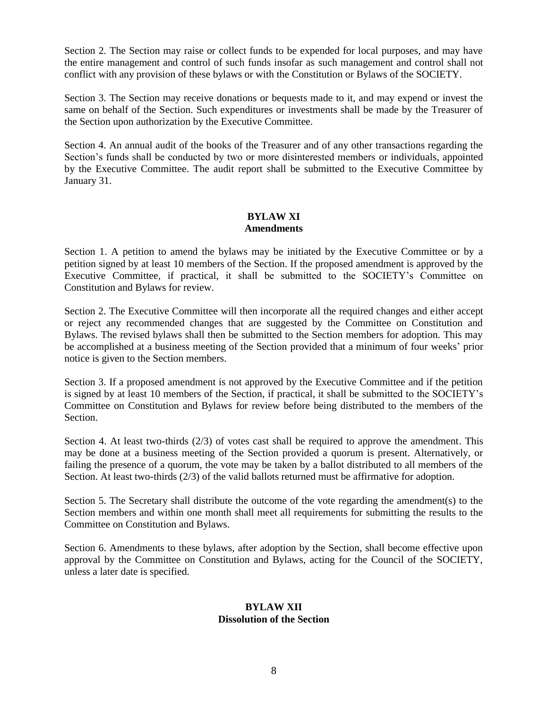Section 2. The Section may raise or collect funds to be expended for local purposes, and may have the entire management and control of such funds insofar as such management and control shall not conflict with any provision of these bylaws or with the Constitution or Bylaws of the SOCIETY.

Section 3. The Section may receive donations or bequests made to it, and may expend or invest the same on behalf of the Section. Such expenditures or investments shall be made by the Treasurer of the Section upon authorization by the Executive Committee.

Section 4. An annual audit of the books of the Treasurer and of any other transactions regarding the Section's funds shall be conducted by two or more disinterested members or individuals, appointed by the Executive Committee. The audit report shall be submitted to the Executive Committee by January 31.

#### **BYLAW XI Amendments**

Section 1. A petition to amend the bylaws may be initiated by the Executive Committee or by a petition signed by at least 10 members of the Section. If the proposed amendment is approved by the Executive Committee, if practical, it shall be submitted to the SOCIETY's Committee on Constitution and Bylaws for review.

Section 2. The Executive Committee will then incorporate all the required changes and either accept or reject any recommended changes that are suggested by the Committee on Constitution and Bylaws. The revised bylaws shall then be submitted to the Section members for adoption. This may be accomplished at a business meeting of the Section provided that a minimum of four weeks' prior notice is given to the Section members.

Section 3. If a proposed amendment is not approved by the Executive Committee and if the petition is signed by at least 10 members of the Section, if practical, it shall be submitted to the SOCIETY's Committee on Constitution and Bylaws for review before being distributed to the members of the Section.

Section 4. At least two-thirds  $(2/3)$  of votes cast shall be required to approve the amendment. This may be done at a business meeting of the Section provided a quorum is present. Alternatively, or failing the presence of a quorum, the vote may be taken by a ballot distributed to all members of the Section. At least two-thirds (2/3) of the valid ballots returned must be affirmative for adoption.

Section 5. The Secretary shall distribute the outcome of the vote regarding the amendment(s) to the Section members and within one month shall meet all requirements for submitting the results to the Committee on Constitution and Bylaws.

Section 6. Amendments to these bylaws, after adoption by the Section, shall become effective upon approval by the Committee on Constitution and Bylaws, acting for the Council of the SOCIETY, unless a later date is specified.

## **BYLAW XII Dissolution of the Section**